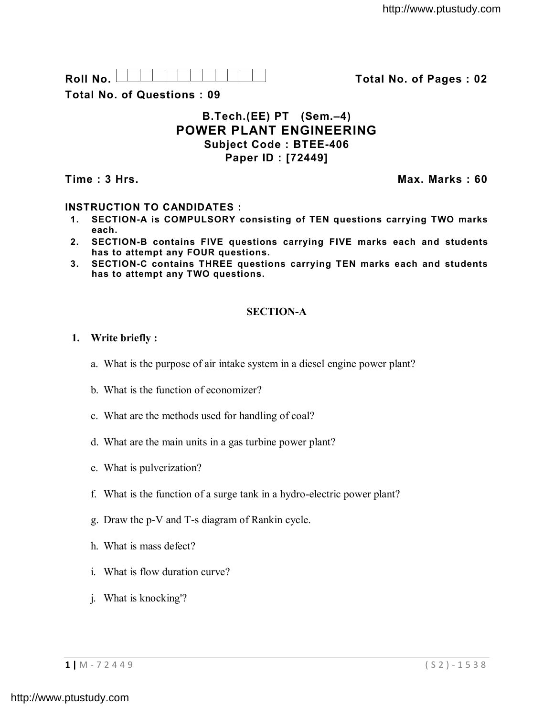| Roll |  |  |  |  |  |  |  |  |  |  |
|------|--|--|--|--|--|--|--|--|--|--|
|------|--|--|--|--|--|--|--|--|--|--|

**Roll No. Total No. of Pages : 02**

**Total No. of Questions : 09**

## **B.Tech.(EE) PT (Sem.–4) POWER PLANT ENGINEERING Subject Code : BTEE-406 Paper ID : [72449]**

**Time : 3 Hrs. Max. Marks : 60**

## **INSTRUCTION TO CANDIDATES :**

- **1. SECTION-A is COMPULSORY consisting of TEN questions carrying TWO marks each.**
- **2. SECTION-B contains FIVE questions carrying FIVE marks each and students has to attempt any FOUR questions.**
- **3. SECTION-C contains THREE questions carrying TEN marks each and students has to attempt any TWO questions.**

# **SECTION-A**

## **1. Write briefly :**

- a. What is the purpose of air intake system in a diesel engine power plant?
- b. What is the function of economizer?
- c. What are the methods used for handling of coal?
- d. What are the main units in a gas turbine power plant?
- e. What is pulverization?
- f. What is the function of a surge tank in a hydro-electric power plant?
- g. Draw the p-V and T-s diagram of Rankin cycle.
- h. What is mass defect?
- i. What is flow duration curve?
- j. What is knocking'?